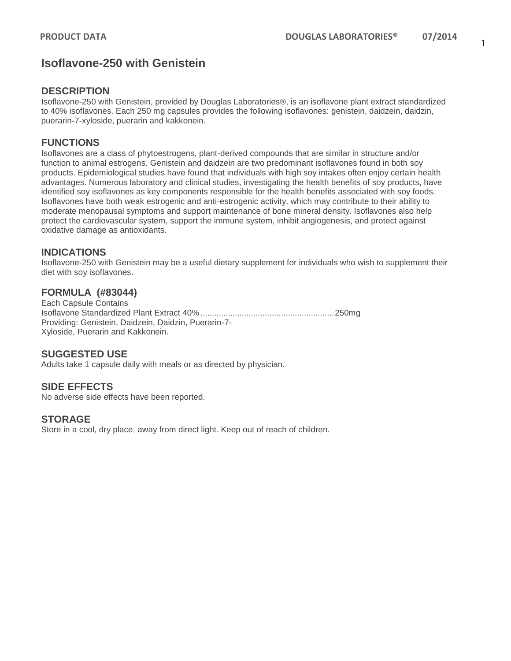# **Isoflavone-250 with Genistein**

#### **DESCRIPTION**

Isoflavone-250 with Genistein, provided by Douglas Laboratories®, is an isoflavone plant extract standardized to 40% isoflavones. Each 250 mg capsules provides the following isoflavones: genistein, daidzein, daidzin, puerarin-7-xyloside, puerarin and kakkonein.

#### **FUNCTIONS**

Isoflavones are a class of phytoestrogens, plant-derived compounds that are similar in structure and/or function to animal estrogens. Genistein and daidzein are two predominant isoflavones found in both soy products. Epidemiological studies have found that individuals with high soy intakes often enjoy certain health advantages. Numerous laboratory and clinical studies, investigating the health benefits of soy products, have identified soy isoflavones as key components responsible for the health benefits associated with soy foods. Isoflavones have both weak estrogenic and anti-estrogenic activity, which may contribute to their ability to moderate menopausal symptoms and support maintenance of bone mineral density. Isoflavones also help protect the cardiovascular system, support the immune system, inhibit angiogenesis, and protect against oxidative damage as antioxidants.

#### **INDICATIONS**

Isoflavone-250 with Genistein may be a useful dietary supplement for individuals who wish to supplement their diet with soy isoflavones.

### **FORMULA (#83044)**

Each Capsule Contains Isoflavone Standardized Plant Extract 40%..........................................................250mg Providing: Genistein, Daidzein, Daidzin, Puerarin-7- Xyloside, Puerarin and Kakkonein.

#### **SUGGESTED USE**

Adults take 1 capsule daily with meals or as directed by physician.

#### **SIDE EFFECTS**

No adverse side effects have been reported.

#### **STORAGE**

Store in a cool, dry place, away from direct light. Keep out of reach of children.